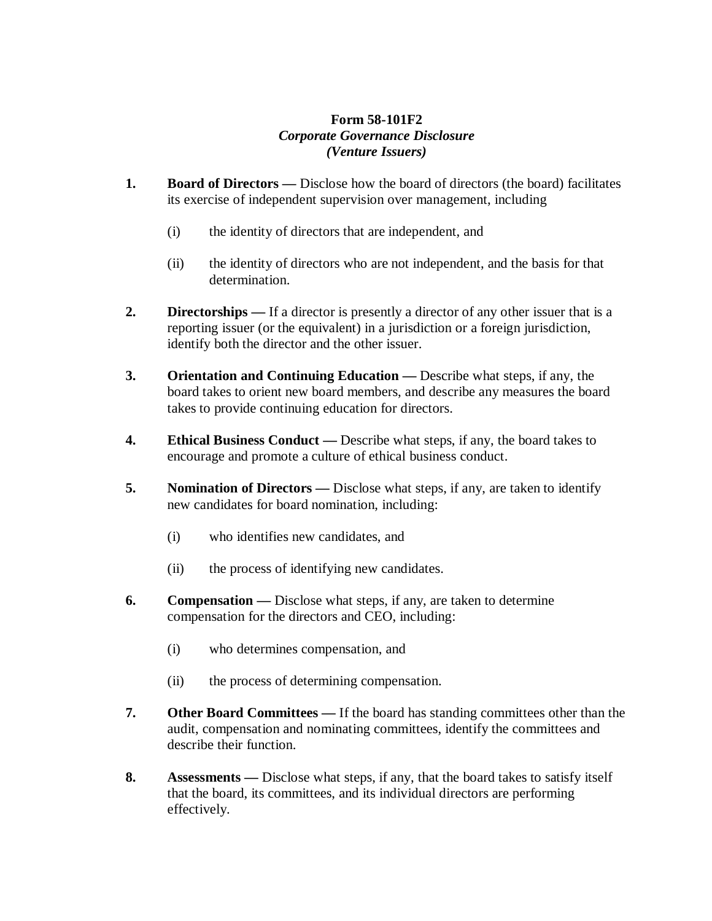## **Form 58-101F2**  *Corporate Governance Disclosure (Venture Issuers)*

- **1.** Board of Directors Disclose how the board of directors (the board) facilitates its exercise of independent supervision over management, including
	- (i) the identity of directors that are independent, and
	- (ii) the identity of directors who are not independent, and the basis for that determination.
- **2. Directorships** If a director is presently a director of any other issuer that is a reporting issuer (or the equivalent) in a jurisdiction or a foreign jurisdiction, identify both the director and the other issuer.
- **3. Orientation and Continuing Education —** Describe what steps, if any, the board takes to orient new board members, and describe any measures the board takes to provide continuing education for directors.
- **4.** Ethical Business Conduct Describe what steps, if any, the board takes to encourage and promote a culture of ethical business conduct.
- **5.** Nomination of Directors Disclose what steps, if any, are taken to identify new candidates for board nomination, including:
	- (i) who identifies new candidates, and
	- (ii) the process of identifying new candidates.
- **6.** Compensation Disclose what steps, if any, are taken to determine compensation for the directors and CEO, including:
	- (i) who determines compensation, and
	- (ii) the process of determining compensation.
- **7.** Other Board Committees If the board has standing committees other than the audit, compensation and nominating committees, identify the committees and describe their function.
- **8. Assessments —** Disclose what steps, if any, that the board takes to satisfy itself that the board, its committees, and its individual directors are performing effectively.